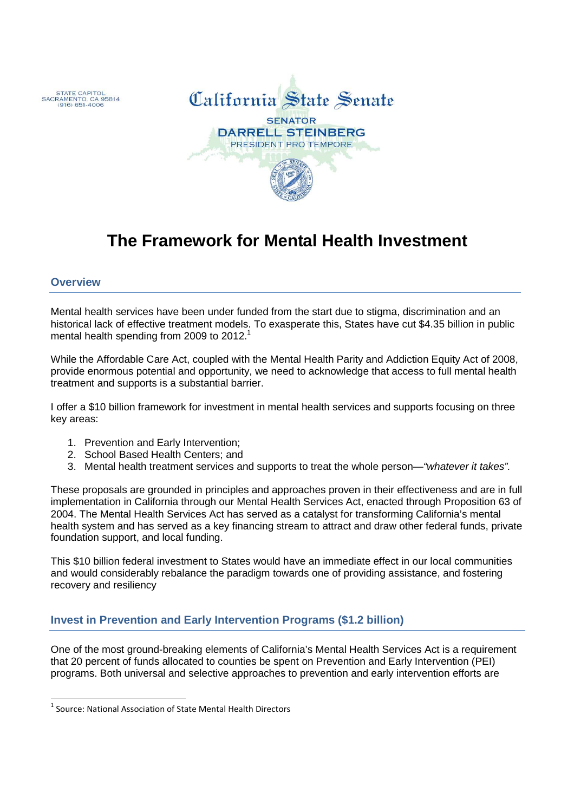



# **The Framework for Mental Health Investment**

# **Overview**

Mental health services have been under funded from the start due to stigma, discrimination and an historical lack of effective treatment models. To exasperate this, States have cut \$4.35 billion in public mental health spending from 2009 to 2012.<sup>1</sup>

While the Affordable Care Act, coupled with the Mental Health Parity and Addiction Equity Act of 2008, provide enormous potential and opportunity, we need to acknowledge that access to full mental health treatment and supports is a substantial barrier.

I offer a \$10 billion framework for investment in mental health services and supports focusing on three key areas:

- 1. Prevention and Early Intervention;
- 2. School Based Health Centers; and
- 3. Mental health treatment services and supports to treat the whole person—"whatever it takes".

These proposals are grounded in principles and approaches proven in their effectiveness and are in full implementation in California through our Mental Health Services Act, enacted through Proposition 63 of 2004. The Mental Health Services Act has served as a catalyst for transforming California's mental health system and has served as a key financing stream to attract and draw other federal funds, private foundation support, and local funding.

This \$10 billion federal investment to States would have an immediate effect in our local communities and would considerably rebalance the paradigm towards one of providing assistance, and fostering recovery and resiliency

# **Invest in Prevention and Early Intervention Programs (\$1.2 billion)**

One of the most ground-breaking elements of California's Mental Health Services Act is a requirement that 20 percent of funds allocated to counties be spent on Prevention and Early Intervention (PEI) programs. Both universal and selective approaches to prevention and early intervention efforts are

 $<sup>1</sup>$  Source: National Association of State Mental Health Directors</sup>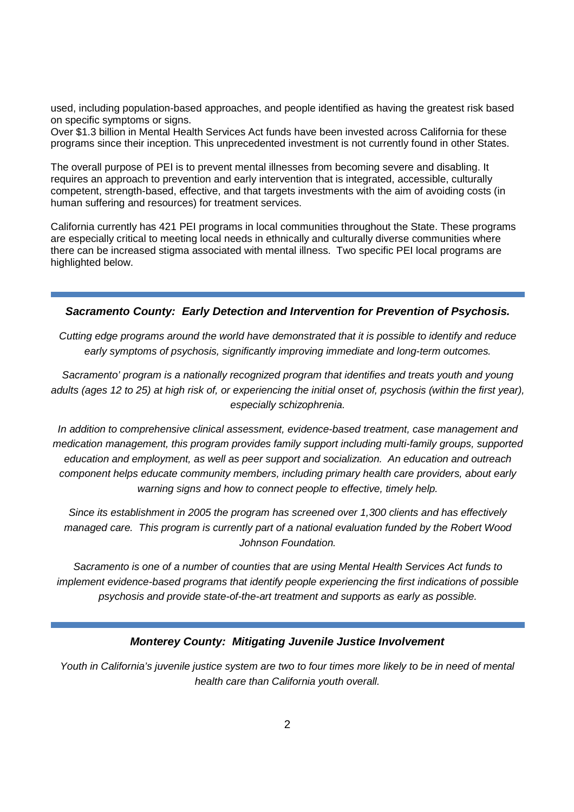used, including population-based approaches, and people identified as having the greatest risk based on specific symptoms or signs.

Over \$1.3 billion in Mental Health Services Act funds have been invested across California for these programs since their inception. This unprecedented investment is not currently found in other States.

The overall purpose of PEI is to prevent mental illnesses from becoming severe and disabling. It requires an approach to prevention and early intervention that is integrated, accessible, culturally competent, strength-based, effective, and that targets investments with the aim of avoiding costs (in human suffering and resources) for treatment services.

California currently has 421 PEI programs in local communities throughout the State. These programs are especially critical to meeting local needs in ethnically and culturally diverse communities where there can be increased stigma associated with mental illness. Two specific PEI local programs are highlighted below.

#### **Sacramento County: Early Detection and Intervention for Prevention of Psychosis.**

Cutting edge programs around the world have demonstrated that it is possible to identify and reduce early symptoms of psychosis, significantly improving immediate and long-term outcomes.

Sacramento' program is a nationally recognized program that identifies and treats youth and young adults (ages 12 to 25) at high risk of, or experiencing the initial onset of, psychosis (within the first year), especially schizophrenia.

In addition to comprehensive clinical assessment, evidence-based treatment, case management and medication management, this program provides family support including multi-family groups, supported education and employment, as well as peer support and socialization. An education and outreach component helps educate community members, including primary health care providers, about early warning signs and how to connect people to effective, timely help.

Since its establishment in 2005 the program has screened over 1,300 clients and has effectively managed care. This program is currently part of a national evaluation funded by the Robert Wood Johnson Foundation.

Sacramento is one of a number of counties that are using Mental Health Services Act funds to implement evidence-based programs that identify people experiencing the first indications of possible psychosis and provide state-of-the-art treatment and supports as early as possible.

#### **Monterey County: Mitigating Juvenile Justice Involvement**

Youth in California's juvenile justice system are two to four times more likely to be in need of mental health care than California youth overall.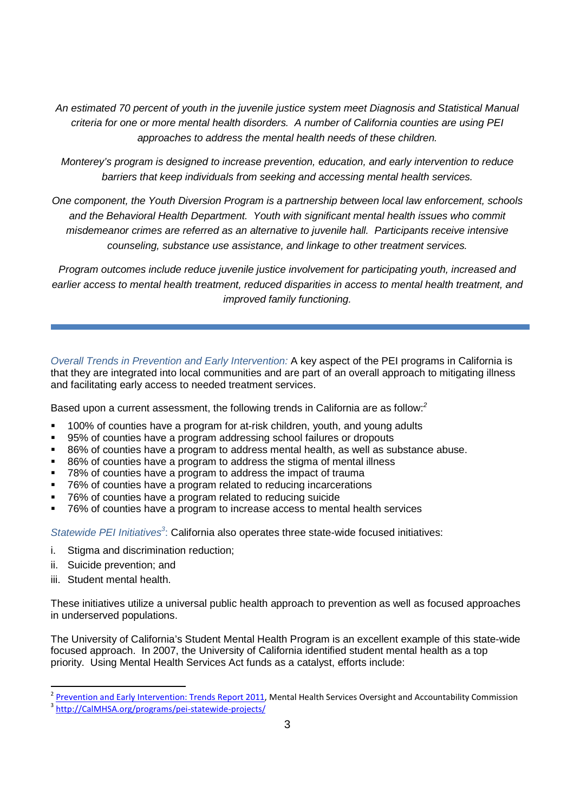An estimated 70 percent of youth in the juvenile justice system meet Diagnosis and Statistical Manual criteria for one or more mental health disorders. A number of California counties are using PEI approaches to address the mental health needs of these children.

Monterey's program is designed to increase prevention, education, and early intervention to reduce barriers that keep individuals from seeking and accessing mental health services.

One component, the Youth Diversion Program is a partnership between local law enforcement, schools and the Behavioral Health Department. Youth with significant mental health issues who commit misdemeanor crimes are referred as an alternative to juvenile hall. Participants receive intensive counseling, substance use assistance, and linkage to other treatment services.

Program outcomes include reduce juvenile justice involvement for participating youth, increased and earlier access to mental health treatment, reduced disparities in access to mental health treatment, and improved family functioning.

Overall Trends in Prevention and Early Intervention: A key aspect of the PEI programs in California is that they are integrated into local communities and are part of an overall approach to mitigating illness and facilitating early access to needed treatment services.

Based upon a current assessment, the following trends in California are as follow: $2$ 

- 100% of counties have a program for at-risk children, youth, and young adults
- 95% of counties have a program addressing school failures or dropouts
- 86% of counties have a program to address mental health, as well as substance abuse.
- 86% of counties have a program to address the stigma of mental illness
- 78% of counties have a program to address the impact of trauma
- 76% of counties have a program related to reducing incarcerations
- 76% of counties have a program related to reducing suicide
- 76% of counties have a program to increase access to mental health services

Statewide PEI Initiatives<sup>3</sup>: California also operates three state-wide focused initiatives:

- i. Stigma and discrimination reduction;
- ii. Suicide prevention; and
- iii. Student mental health.

l

These initiatives utilize a universal public health approach to prevention as well as focused approaches in underserved populations.

The University of California's Student Mental Health Program is an excellent example of this state-wide focused approach. In 2007, the University of California identified student mental health as a top priority. Using Mental Health Services Act funds as a catalyst, efforts include:

<sup>2</sup> Prevention and Early Intervention: Trends Report 2011, Mental Health Services Oversight and Accountability Commission

<sup>3</sup> http://CalMHSA.org/programs/pei-statewide-projects/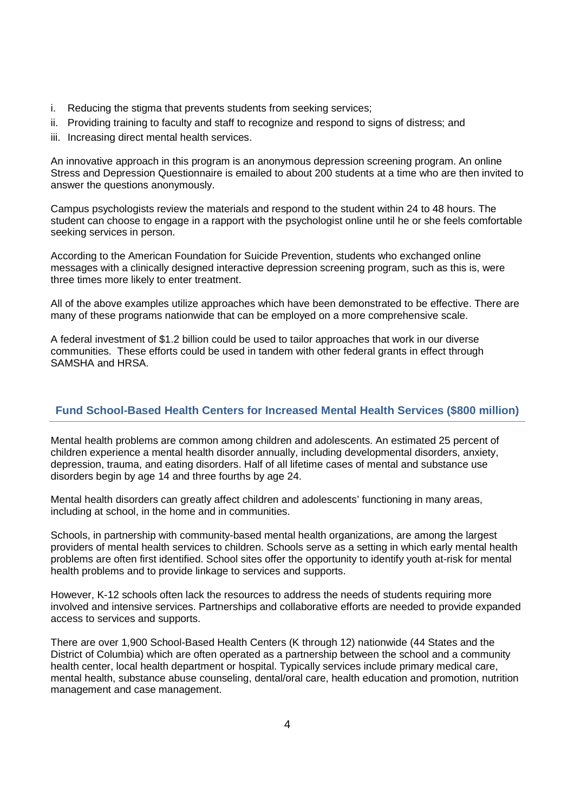- i. Reducing the stigma that prevents students from seeking services;
- ii. Providing training to faculty and staff to recognize and respond to signs of distress; and
- iii. Increasing direct mental health services.

An innovative approach in this program is an anonymous depression screening program. An online Stress and Depression Questionnaire is emailed to about 200 students at a time who are then invited to answer the questions anonymously.

Campus psychologists review the materials and respond to the student within 24 to 48 hours. The student can choose to engage in a rapport with the psychologist online until he or she feels comfortable seeking services in person.

According to the American Foundation for Suicide Prevention, students who exchanged online messages with a clinically designed interactive depression screening program, such as this is, were three times more likely to enter treatment.

All of the above examples utilize approaches which have been demonstrated to be effective. There are many of these programs nationwide that can be employed on a more comprehensive scale.

A federal investment of \$1.2 billion could be used to tailor approaches that work in our diverse communities. These efforts could be used in tandem with other federal grants in effect through SAMSHA and HRSA.

# **Fund School-Based Health Centers for Increased Mental Health Services (\$800 million)**

Mental health problems are common among children and adolescents. An estimated 25 percent of children experience a mental health disorder annually, including developmental disorders, anxiety, depression, trauma, and eating disorders. Half of all lifetime cases of mental and substance use disorders begin by age 14 and three fourths by age 24.

Mental health disorders can greatly affect children and adolescents' functioning in many areas, including at school, in the home and in communities.

Schools, in partnership with community-based mental health organizations, are among the largest providers of mental health services to children. Schools serve as a setting in which early mental health problems are often first identified. School sites offer the opportunity to identify youth at-risk for mental health problems and to provide linkage to services and supports.

However, K-12 schools often lack the resources to address the needs of students requiring more involved and intensive services. Partnerships and collaborative efforts are needed to provide expanded access to services and supports.

There are over 1,900 School-Based Health Centers (K through 12) nationwide (44 States and the District of Columbia) which are often operated as a partnership between the school and a community health center, local health department or hospital. Typically services include primary medical care, mental health, substance abuse counseling, dental/oral care, health education and promotion, nutrition management and case management.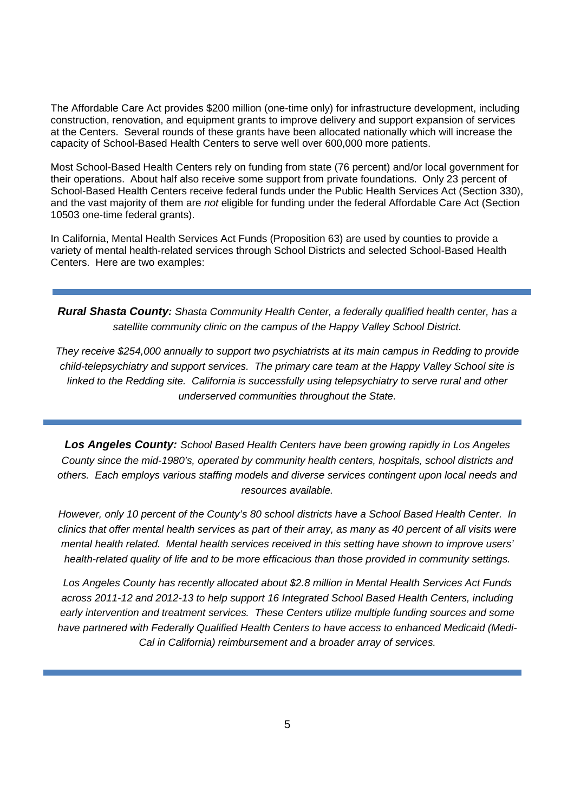The Affordable Care Act provides \$200 million (one-time only) for infrastructure development, including construction, renovation, and equipment grants to improve delivery and support expansion of services at the Centers. Several rounds of these grants have been allocated nationally which will increase the capacity of School-Based Health Centers to serve well over 600,000 more patients.

Most School-Based Health Centers rely on funding from state (76 percent) and/or local government for their operations. About half also receive some support from private foundations. Only 23 percent of School-Based Health Centers receive federal funds under the Public Health Services Act (Section 330), and the vast majority of them are not eligible for funding under the federal Affordable Care Act (Section 10503 one-time federal grants).

In California, Mental Health Services Act Funds (Proposition 63) are used by counties to provide a variety of mental health-related services through School Districts and selected School-Based Health Centers. Here are two examples:

**Rural Shasta County:** Shasta Community Health Center, a federally qualified health center, has a satellite community clinic on the campus of the Happy Valley School District.

They receive \$254,000 annually to support two psychiatrists at its main campus in Redding to provide child-telepsychiatry and support services. The primary care team at the Happy Valley School site is linked to the Redding site. California is successfully using telepsychiatry to serve rural and other underserved communities throughout the State.

**Los Angeles County:** School Based Health Centers have been growing rapidly in Los Angeles County since the mid-1980's, operated by community health centers, hospitals, school districts and others. Each employs various staffing models and diverse services contingent upon local needs and resources available.

However, only 10 percent of the County's 80 school districts have a School Based Health Center. In clinics that offer mental health services as part of their array, as many as 40 percent of all visits were mental health related. Mental health services received in this setting have shown to improve users' health-related quality of life and to be more efficacious than those provided in community settings.

Los Angeles County has recently allocated about \$2.8 million in Mental Health Services Act Funds across 2011-12 and 2012-13 to help support 16 Integrated School Based Health Centers, including early intervention and treatment services. These Centers utilize multiple funding sources and some have partnered with Federally Qualified Health Centers to have access to enhanced Medicaid (Medi-Cal in California) reimbursement and a broader array of services.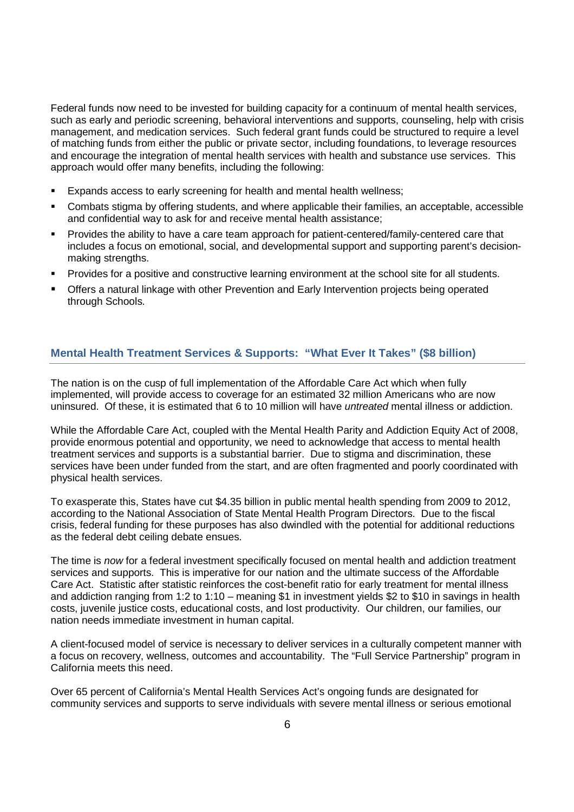Federal funds now need to be invested for building capacity for a continuum of mental health services, such as early and periodic screening, behavioral interventions and supports, counseling, help with crisis management, and medication services. Such federal grant funds could be structured to require a level of matching funds from either the public or private sector, including foundations, to leverage resources and encourage the integration of mental health services with health and substance use services. This approach would offer many benefits, including the following:

- Expands access to early screening for health and mental health wellness;
- Combats stigma by offering students, and where applicable their families, an acceptable, accessible and confidential way to ask for and receive mental health assistance;
- Provides the ability to have a care team approach for patient-centered/family-centered care that includes a focus on emotional, social, and developmental support and supporting parent's decisionmaking strengths.
- Provides for a positive and constructive learning environment at the school site for all students.
- Offers a natural linkage with other Prevention and Early Intervention projects being operated through Schools.

## **Mental Health Treatment Services & Supports: "What Ever It Takes" (\$8 billion)**

The nation is on the cusp of full implementation of the Affordable Care Act which when fully implemented, will provide access to coverage for an estimated 32 million Americans who are now uninsured. Of these, it is estimated that 6 to 10 million will have *untreated* mental illness or addiction.

While the Affordable Care Act, coupled with the Mental Health Parity and Addiction Equity Act of 2008, provide enormous potential and opportunity, we need to acknowledge that access to mental health treatment services and supports is a substantial barrier. Due to stigma and discrimination, these services have been under funded from the start, and are often fragmented and poorly coordinated with physical health services.

To exasperate this, States have cut \$4.35 billion in public mental health spending from 2009 to 2012, according to the National Association of State Mental Health Program Directors. Due to the fiscal crisis, federal funding for these purposes has also dwindled with the potential for additional reductions as the federal debt ceiling debate ensues.

The time is now for a federal investment specifically focused on mental health and addiction treatment services and supports. This is imperative for our nation and the ultimate success of the Affordable Care Act. Statistic after statistic reinforces the cost-benefit ratio for early treatment for mental illness and addiction ranging from 1:2 to 1:10 – meaning \$1 in investment yields \$2 to \$10 in savings in health costs, juvenile justice costs, educational costs, and lost productivity. Our children, our families, our nation needs immediate investment in human capital.

A client-focused model of service is necessary to deliver services in a culturally competent manner with a focus on recovery, wellness, outcomes and accountability. The "Full Service Partnership" program in California meets this need.

Over 65 percent of California's Mental Health Services Act's ongoing funds are designated for community services and supports to serve individuals with severe mental illness or serious emotional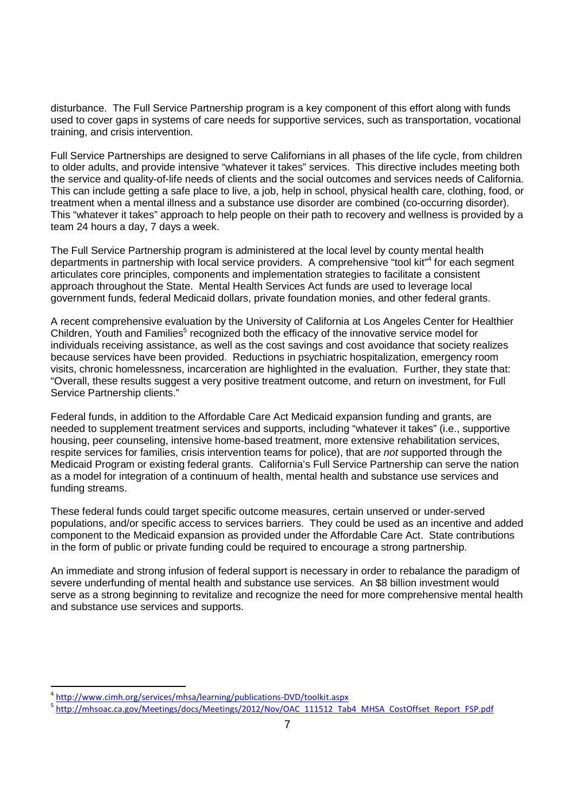disturbance. The Full Service Partnership program is a key component of this effort along with funds used to cover gaps in systems of care needs for supportive services, such as transportation, vocational training, and crisis intervention.

Full Service Partnerships are designed to serve Californians in all phases of the life cycle, from children to older adults, and provide intensive "whatever it takes" services. This directive includes meeting both the service and quality-of-life needs of clients and the social outcomes and services needs of California. This can include getting a safe place to live, a job, help in school, physical health care, clothing, food, or treatment when a mental illness and a substance use disorder are combined (co-occurring disorder). This "whatever it takes" approach to help people on their path to recovery and wellness is provided by a team 24 hours a day, 7 days a week.

The Full Service Partnership program is administered at the local level by county mental health departments in partnership with local service providers. A comprehensive "tool kit"<sup>4</sup> for each segment articulates core principles, components and implementation strategies to facilitate a consistent approach throughout the State. Mental Health Services Act funds are used to leverage local government funds, federal Medicaid dollars, private foundation monies, and other federal grants.

A recent comprehensive evaluation by the University of California at Los Angeles Center for Healthier Children, Youth and Families<sup>5</sup> recognized both the efficacy of the innovative service model for individuals receiving assistance, as well as the cost savings and cost avoidance that society realizes because services have been provided. Reductions in psychiatric hospitalization, emergency room visits, chronic homelessness, incarceration are highlighted in the evaluation. Further, they state that: "Overall, these results suggest a very positive treatment outcome, and return on investment, for Full Service Partnership clients."

Federal funds, in addition to the Affordable Care Act Medicaid expansion funding and grants, are needed to supplement treatment services and supports, including "whatever it takes" (i.e., supportive housing, peer counseling, intensive home-based treatment, more extensive rehabilitation services, respite services for families, crisis intervention teams for police), that are not supported through the Medicaid Program or existing federal grants. California's Full Service Partnership can serve the nation as a model for integration of a continuum of health, mental health and substance use services and funding streams.

These federal funds could target specific outcome measures, certain unserved or under-served populations, and/or specific access to services barriers. They could be used as an incentive and added component to the Medicaid expansion as provided under the Affordable Care Act. State contributions in the form of public or private funding could be required to encourage a strong partnership.

An immediate and strong infusion of federal support is necessary in order to rebalance the paradigm of severe underfunding of mental health and substance use services. An \$8 billion investment would serve as a strong beginning to revitalize and recognize the need for more comprehensive mental health and substance use services and supports.

l

<sup>4</sup> http://www.cimh.org/services/mhsa/learning/publications-DVD/toolkit.aspx

<sup>5</sup> http://mhsoac.ca.gov/Meetings/docs/Meetings/2012/Nov/OAC\_111512\_Tab4\_MHSA\_CostOffset\_Report\_FSP.pdf